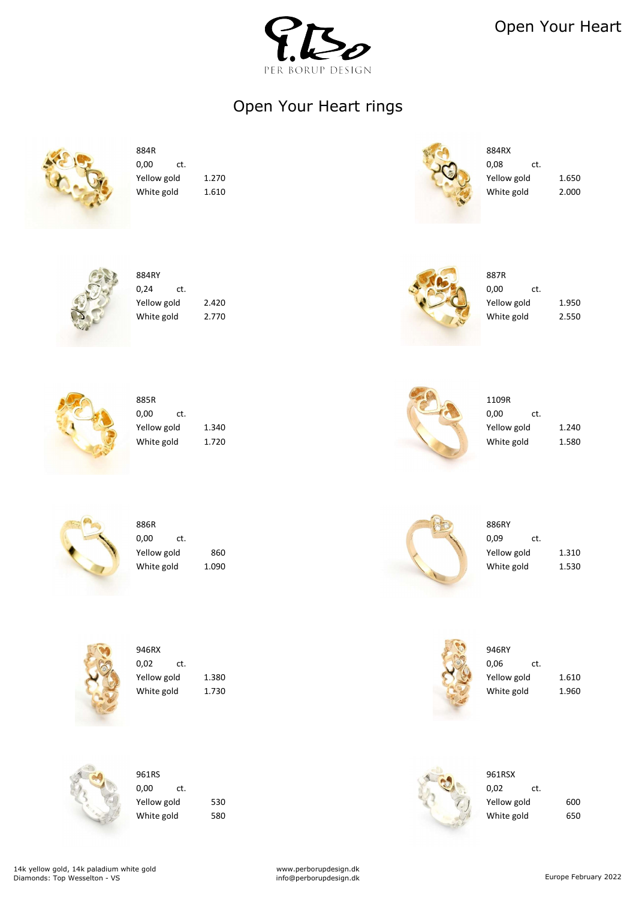

Open Your Heart



| 004111      |       | 00711       |     |
|-------------|-------|-------------|-----|
| 0,24<br>ct. |       | 0,00        | ct. |
| Yellow gold | 2.420 | Yellow gold |     |
| White gold  | 2.770 | White gold  |     |

| 884RY       |       | 887R        |       |
|-------------|-------|-------------|-------|
| 0,24<br>Ct. |       | 0,00<br>ct. |       |
| Yellow gold | 2.420 | Yellow gold | 1.950 |
| White gold  | 2.770 | White gold  | 2.550 |



| <b>UUJI</b> |       |  | ᆂᆂᇦᇰᇅ       |     |       |
|-------------|-------|--|-------------|-----|-------|
| 0,00<br>ct. |       |  | 0,00        | ct. |       |
| Yellow gold | 1.340 |  | Yellow gold |     | 1.240 |
| White gold  | 1.720 |  | White gold  |     | 1.580 |





| 886R                | 886RY       |     |
|---------------------|-------------|-----|
| 0,00<br>ct.         | 0,09        | ct. |
| Yellow gold<br>860  | Yellow gold |     |
| White gold<br>090.ء | White gold  |     |

www.perborupdesign.dk info@perborupdesign.dk example february 2022

| 886R                | 886RY       |       |
|---------------------|-------------|-------|
| 0,00<br>ct.         | 0,09<br>ct. |       |
| Yellow gold<br>860  | Yellow gold | 1.310 |
| White gold<br>1.090 | White gold  | 1.530 |





946RX 946RY 946RY 0,02 ct.  $\qquad \qquad 0.06$  ct. Yellow gold 1.380 1.610

885R 1109R



white gold 1.730 and 1.960





 $\mathcal{V}$  Yellow gold 600 White gold 580 580 and 580 and 580 and 580 and 50 and 50 and 50 and 50 and 50 and 50 and 50 and 50 and 50 and 50

| 961RS       |     | 961RSX      |     |
|-------------|-----|-------------|-----|
| 0,00<br>ct. |     | 0,02        | ct. |
| Yellow gold | 530 | Yellow gold |     |
| White gold  | 580 | White gold  |     |

### Open Your Heart rings



 $884R$  884RX  $0,00$  ct.  $0,08$  ct. Yellow gold 1.270 1.650 White gold  $1.610$   $2.000$ 



14k yellow gold, 14k paladium white gold Diamonds: Top Wesselton - VS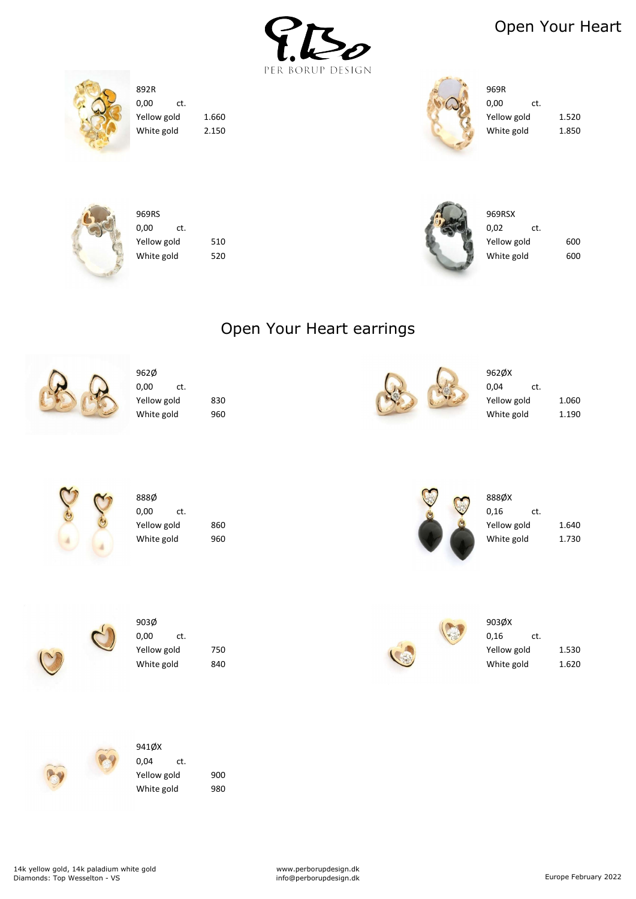

### Open Your Heart





| 892R        |       | 969R        |       |
|-------------|-------|-------------|-------|
| 0,00<br>ct. |       | 0,00<br>ct. |       |
| Yellow gold | 1.660 | Yellow gold | 1.520 |
| White gold  | 2.150 | White gold  | 1.850 |





| 969RS       |     | 969RSX      |     |
|-------------|-----|-------------|-----|
| 0,00<br>ct. |     | 0,02<br>ct. |     |
| Yellow gold | 510 | Yellow gold | 600 |
| White gold  | 520 | White gold  | 600 |



#### 941ØX 0,04 ct. Yellow gold 900 White gold 980

| 962Ø        |     |  | 962ØX       |       |
|-------------|-----|--|-------------|-------|
| 0,00<br>ct. |     |  | 0,04<br>ct. |       |
| Yellow gold | 830 |  | Yellow gold | 1.060 |
| White gold  | 960 |  | White gold  | 1.190 |



| 888Ø        |     | L |    | 888ØX       |     |
|-------------|-----|---|----|-------------|-----|
| 0,00<br>ct. |     |   | 老麻 | 0,16        | ct. |
| Yellow gold | 860 |   |    | Yellow gold |     |
| White gold  | 960 |   |    | White gold  |     |

www.perborupdesign.dk info@perborupdesign.dk example february 2022





 $\frac{1}{2}$  Yellow gold 1.640  $\sim$  White gold 1.730



| 903Ø        |     |                      | 903ØX       |       |
|-------------|-----|----------------------|-------------|-------|
| 0,00<br>ct. |     | $\sqrt{\frac{1}{2}}$ | 0,16<br>ct. |       |
| Yellow gold | 750 |                      | Yellow gold | 1.530 |
| White gold  | 840 |                      | White gold  | 1.620 |



# Open Your Heart earrings



14k yellow gold, 14k paladium white gold Diamonds: Top Wesselton - VS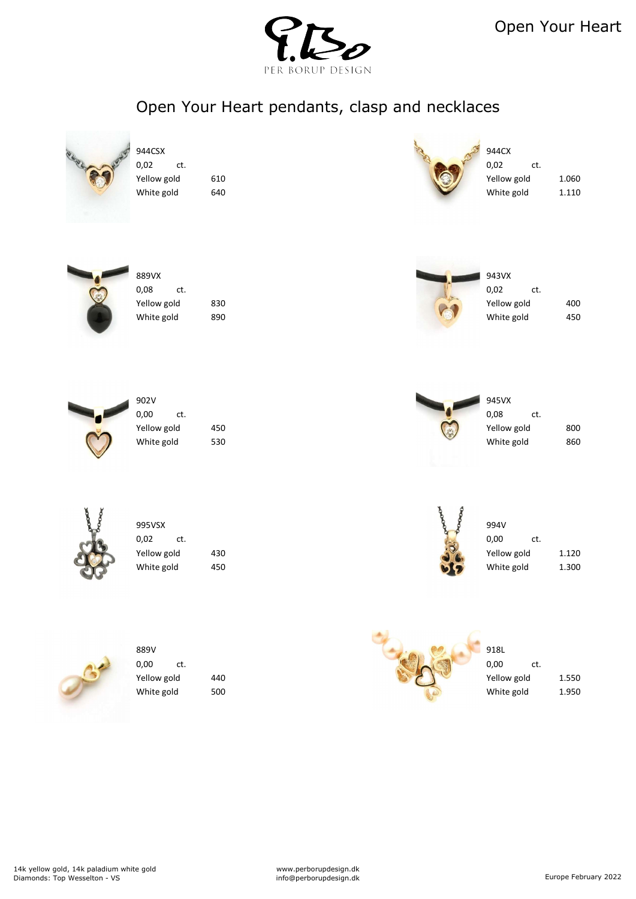





| ,08<br>ct. |    |
|------------|----|
| ellow gold | 83 |
| Vhite gold | 89 |



| ct. |     |
|-----|-----|
| d   | 400 |
| Ł   | 450 |



| <i>J</i> UL V |     |     |
|---------------|-----|-----|
| 0,00          | ct. |     |
| Yellow gold   |     | 450 |
| White gold    |     | 530 |
|               |     |     |





| 800 |
|-----|
| 860 |
|     |



| 995VSX      |     | Ø.                       | 994V        |       |
|-------------|-----|--------------------------|-------------|-------|
| 0,02<br>ct. |     | $\overline{\mathcal{C}}$ | 0,00<br>ct. |       |
| Yellow gold | 430 | $\cdot$                  | Yellow gold | 1.120 |
| White gold  | 450 |                          | White gold  | 1.300 |

| 995VSX      |     | Ą.              | 994V        |       |
|-------------|-----|-----------------|-------------|-------|
| 0,02<br>ct. |     | $\ddot{\alpha}$ | 0,00<br>ct. |       |
| Yellow gold | 430 |                 | Yellow gold | 1.120 |
| White gold  | 450 |                 | White gold  | 1.300 |









White gold 500 500  $\sqrt{2}$  White gold 1.950

Open Your Heart pendants, clasp and necklaces



| 4CSX      |     |    |
|-----------|-----|----|
| )2        | ct. |    |
| llow gold |     | 61 |
| hite gold |     | 64 |
|           |     |    |

14k yellow gold, 14k paladium white gold Diamonds: Top Wesselton - VS

www.perborupdesign.dk info@perborupdesign.dk Europe February 2022